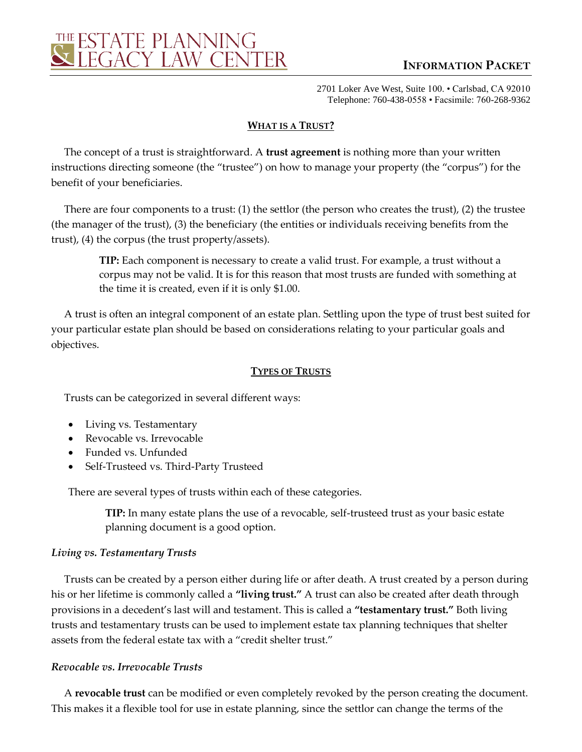

# **INFORMATION PACKET**

2701 Loker Ave West, Suite 100. • Carlsbad, CA 92010 Telephone: 760-438-0558 • Facsimile: 760-268-9362

#### **WHAT IS A TRUST?**

The concept of a trust is straightforward. A **trust agreement** is nothing more than your written instructions directing someone (the "trustee") on how to manage your property (the "corpus") for the benefit of your beneficiaries.

There are four components to a trust: (1) the settlor (the person who creates the trust), (2) the trustee (the manager of the trust), (3) the beneficiary (the entities or individuals receiving benefits from the trust), (4) the corpus (the trust property/assets).

**TIP:** Each component is necessary to create a valid trust. For example, a trust without a corpus may not be valid. It is for this reason that most trusts are funded with something at the time it is created, even if it is only \$1.00.

A trust is often an integral component of an estate plan. Settling upon the type of trust best suited for your particular estate plan should be based on considerations relating to your particular goals and objectives.

#### **TYPES OF TRUSTS**

Trusts can be categorized in several different ways:

- Living vs. Testamentary
- Revocable vs. Irrevocable
- Funded vs. Unfunded
- Self-Trusteed vs. Third-Party Trusteed

There are several types of trusts within each of these categories.

**TIP:** In many estate plans the use of a revocable, self-trusteed trust as your basic estate planning document is a good option.

#### *Living vs. Testamentary Trusts*

Trusts can be created by a person either during life or after death. A trust created by a person during his or her lifetime is commonly called a **"living trust."** A trust can also be created after death through provisions in a decedent's last will and testament. This is called a **"testamentary trust."** Both living trusts and testamentary trusts can be used to implement estate tax planning techniques that shelter assets from the federal estate tax with a "credit shelter trust."

#### *Revocable vs. Irrevocable Trusts*

A **revocable trust** can be modified or even completely revoked by the person creating the document. This makes it a flexible tool for use in estate planning, since the settlor can change the terms of the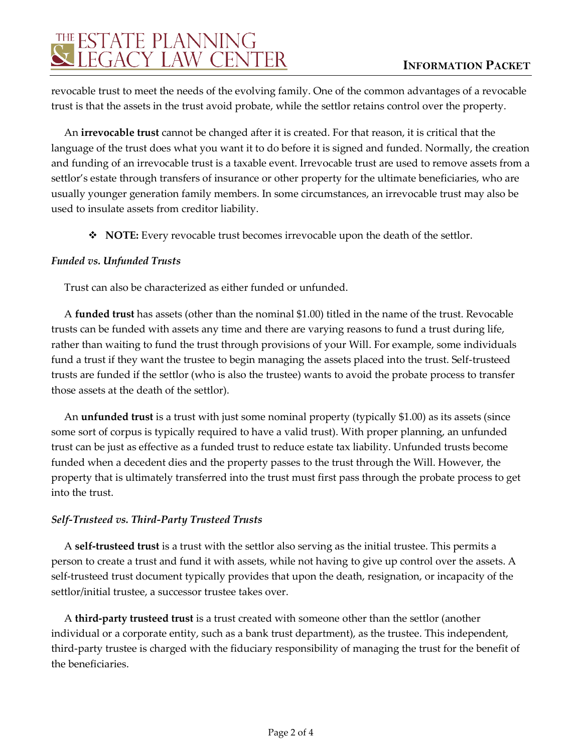# THE ESTATE PLANNING<br>SUEGACY LAW CENTER

revocable trust to meet the needs of the evolving family. One of the common advantages of a revocable trust is that the assets in the trust avoid probate, while the settlor retains control over the property.

An **irrevocable trust** cannot be changed after it is created. For that reason, it is critical that the language of the trust does what you want it to do before it is signed and funded. Normally, the creation and funding of an irrevocable trust is a taxable event. Irrevocable trust are used to remove assets from a settlor's estate through transfers of insurance or other property for the ultimate beneficiaries, who are usually younger generation family members. In some circumstances, an irrevocable trust may also be used to insulate assets from creditor liability.

◆ **NOTE:** Every revocable trust becomes irrevocable upon the death of the settlor.

## *Funded vs. Unfunded Trusts*

Trust can also be characterized as either funded or unfunded.

A **funded trust** has assets (other than the nominal \$1.00) titled in the name of the trust. Revocable trusts can be funded with assets any time and there are varying reasons to fund a trust during life, rather than waiting to fund the trust through provisions of your Will. For example, some individuals fund a trust if they want the trustee to begin managing the assets placed into the trust. Self-trusteed trusts are funded if the settlor (who is also the trustee) wants to avoid the probate process to transfer those assets at the death of the settlor).

An **unfunded trust** is a trust with just some nominal property (typically \$1.00) as its assets (since some sort of corpus is typically required to have a valid trust). With proper planning, an unfunded trust can be just as effective as a funded trust to reduce estate tax liability. Unfunded trusts become funded when a decedent dies and the property passes to the trust through the Will. However, the property that is ultimately transferred into the trust must first pass through the probate process to get into the trust.

## *Self-Trusteed vs. Third-Party Trusteed Trusts*

A **self-trusteed trust** is a trust with the settlor also serving as the initial trustee. This permits a person to create a trust and fund it with assets, while not having to give up control over the assets. A self-trusteed trust document typically provides that upon the death, resignation, or incapacity of the settlor/initial trustee, a successor trustee takes over.

A **third-party trusteed trust** is a trust created with someone other than the settlor (another individual or a corporate entity, such as a bank trust department), as the trustee. This independent, third-party trustee is charged with the fiduciary responsibility of managing the trust for the benefit of the beneficiaries.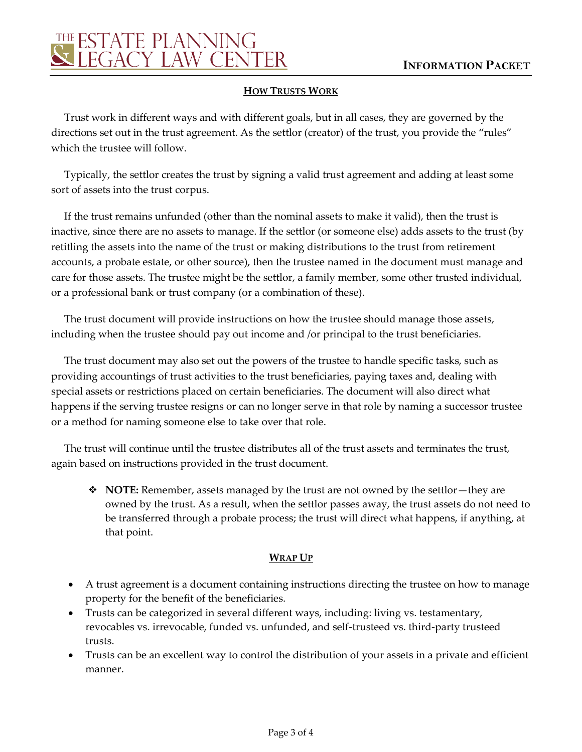

### **HOW TRUSTS WORK**

Trust work in different ways and with different goals, but in all cases, they are governed by the directions set out in the trust agreement. As the settlor (creator) of the trust, you provide the "rules" which the trustee will follow.

Typically, the settlor creates the trust by signing a valid trust agreement and adding at least some sort of assets into the trust corpus.

If the trust remains unfunded (other than the nominal assets to make it valid), then the trust is inactive, since there are no assets to manage. If the settlor (or someone else) adds assets to the trust (by retitling the assets into the name of the trust or making distributions to the trust from retirement accounts, a probate estate, or other source), then the trustee named in the document must manage and care for those assets. The trustee might be the settlor, a family member, some other trusted individual, or a professional bank or trust company (or a combination of these).

The trust document will provide instructions on how the trustee should manage those assets, including when the trustee should pay out income and /or principal to the trust beneficiaries.

The trust document may also set out the powers of the trustee to handle specific tasks, such as providing accountings of trust activities to the trust beneficiaries, paying taxes and, dealing with special assets or restrictions placed on certain beneficiaries. The document will also direct what happens if the serving trustee resigns or can no longer serve in that role by naming a successor trustee or a method for naming someone else to take over that role.

The trust will continue until the trustee distributes all of the trust assets and terminates the trust, again based on instructions provided in the trust document.

 **NOTE:** Remember, assets managed by the trust are not owned by the settlor—they are owned by the trust. As a result, when the settlor passes away, the trust assets do not need to be transferred through a probate process; the trust will direct what happens, if anything, at that point.

#### **WRAP UP**

- A trust agreement is a document containing instructions directing the trustee on how to manage property for the benefit of the beneficiaries.
- Trusts can be categorized in several different ways, including: living vs. testamentary, revocables vs. irrevocable, funded vs. unfunded, and self-trusteed vs. third-party trusteed trusts.
- Trusts can be an excellent way to control the distribution of your assets in a private and efficient manner.